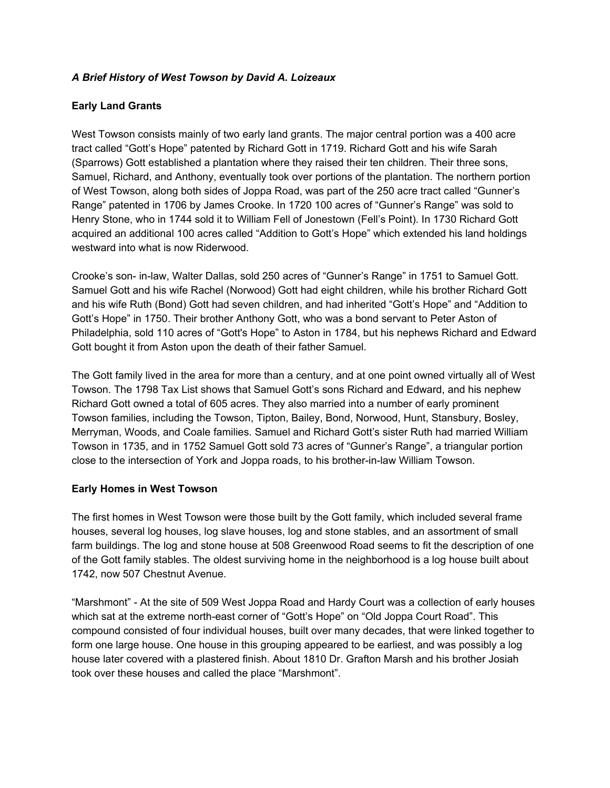#### *A Brief History of West Towson by David A. Loizeaux*

#### **Early Land Grants**

West Towson consists mainly of two early land grants. The major central portion was a 400 acre tract called "Gott's Hope" patented by Richard Gott in 1719. Richard Gott and his wife Sarah (Sparrows) Gott established a plantation where they raised their ten children. Their three sons, Samuel, Richard, and Anthony, eventually took over portions of the plantation. The northern portion of West Towson, along both sides of Joppa Road, was part of the 250 acre tract called "Gunner's Range" patented in 1706 by James Crooke. In 1720 100 acres of "Gunner's Range" was sold to Henry Stone, who in 1744 sold it to William Fell of Jonestown (Fell's Point). In 1730 Richard Gott acquired an additional 100 acres called "Addition to Gott's Hope" which extended his land holdings westward into what is now Riderwood.

Crooke's son- in-law, Walter Dallas, sold 250 acres of "Gunner's Range" in 1751 to Samuel Gott. Samuel Gott and his wife Rachel (Norwood) Gott had eight children, while his brother Richard Gott and his wife Ruth (Bond) Gott had seven children, and had inherited "Gott's Hope" and "Addition to Gott's Hope" in 1750. Their brother Anthony Gott, who was a bond servant to Peter Aston of Philadelphia, sold 110 acres of "Gott's Hope" to Aston in 1784, but his nephews Richard and Edward Gott bought it from Aston upon the death of their father Samuel.

The Gott family lived in the area for more than a century, and at one point owned virtually all of West Towson. The 1798 Tax List shows that Samuel Gott's sons Richard and Edward, and his nephew Richard Gott owned a total of 605 acres. They also married into a number of early prominent Towson families, including the Towson, Tipton, Bailey, Bond, Norwood, Hunt, Stansbury, Bosley, Merryman, Woods, and Coale families. Samuel and Richard Gott's sister Ruth had married William Towson in 1735, and in 1752 Samuel Gott sold 73 acres of "Gunner's Range", a triangular portion close to the intersection of York and Joppa roads, to his brother-in-law William Towson.

## **Early Homes in West Towson**

The first homes in West Towson were those built by the Gott family, which included several frame houses, several log houses, log slave houses, log and stone stables, and an assortment of small farm buildings. The log and stone house at 508 Greenwood Road seems to fit the description of one of the Gott family stables. The oldest surviving home in the neighborhood is a log house built about 1742, now 507 Chestnut Avenue.

"Marshmont" - At the site of 509 West Joppa Road and Hardy Court was a collection of early houses which sat at the extreme north-east corner of "Gott's Hope" on "Old Joppa Court Road". This compound consisted of four individual houses, built over many decades, that were linked together to form one large house. One house in this grouping appeared to be earliest, and was possibly a log house later covered with a plastered finish. About 1810 Dr. Grafton Marsh and his brother Josiah took over these houses and called the place "Marshmont".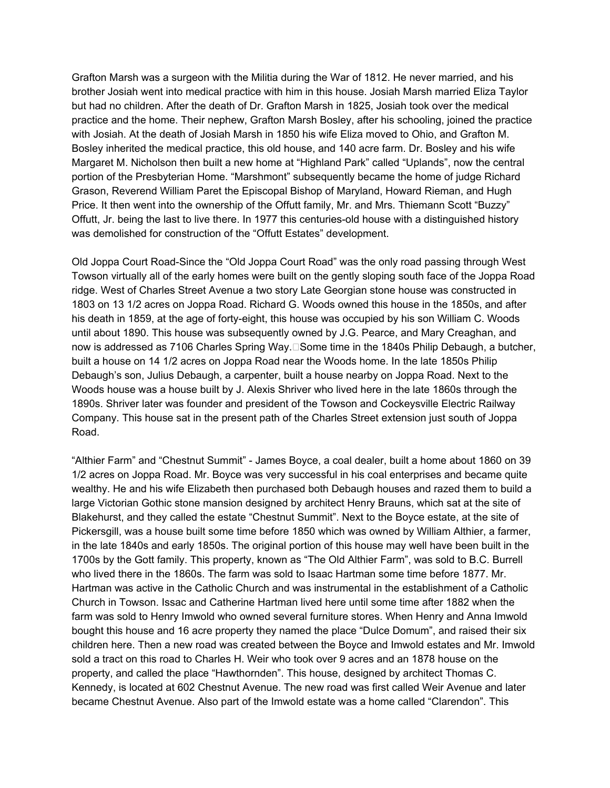Grafton Marsh was a surgeon with the Militia during the War of 1812. He never married, and his brother Josiah went into medical practice with him in this house. Josiah Marsh married Eliza Taylor but had no children. After the death of Dr. Grafton Marsh in 1825, Josiah took over the medical practice and the home. Their nephew, Grafton Marsh Bosley, after his schooling, joined the practice with Josiah. At the death of Josiah Marsh in 1850 his wife Eliza moved to Ohio, and Grafton M. Bosley inherited the medical practice, this old house, and 140 acre farm. Dr. Bosley and his wife Margaret M. Nicholson then built a new home at "Highland Park" called "Uplands", now the central portion of the Presbyterian Home. "Marshmont" subsequently became the home of judge Richard Grason, Reverend William Paret the Episcopal Bishop of Maryland, Howard Rieman, and Hugh Price. It then went into the ownership of the Offutt family, Mr. and Mrs. Thiemann Scott "Buzzy" Offutt, Jr. being the last to live there. In 1977 this centuries-old house with a distinguished history was demolished for construction of the "Offutt Estates" development.

Old Joppa Court Road-Since the "Old Joppa Court Road" was the only road passing through West Towson virtually all of the early homes were built on the gently sloping south face of the Joppa Road ridge. West of Charles Street Avenue a two story Late Georgian stone house was constructed in 1803 on 13 1/2 acres on Joppa Road. Richard G. Woods owned this house in the 1850s, and after his death in 1859, at the age of forty-eight, this house was occupied by his son William C. Woods until about 1890. This house was subsequently owned by J.G. Pearce, and Mary Creaghan, and now is addressed as 7106 Charles Spring Way. $\Box$ Some time in the 1840s Philip Debaugh, a butcher, built a house on 14 1/2 acres on Joppa Road near the Woods home. In the late 1850s Philip Debaugh's son, Julius Debaugh, a carpenter, built a house nearby on Joppa Road. Next to the Woods house was a house built by J. Alexis Shriver who lived here in the late 1860s through the 1890s. Shriver later was founder and president of the Towson and Cockeysville Electric Railway Company. This house sat in the present path of the Charles Street extension just south of Joppa Road.

"Althier Farm" and "Chestnut Summit" - James Boyce, a coal dealer, built a home about 1860 on 39 1/2 acres on Joppa Road. Mr. Boyce was very successful in his coal enterprises and became quite wealthy. He and his wife Elizabeth then purchased both Debaugh houses and razed them to build a large Victorian Gothic stone mansion designed by architect Henry Brauns, which sat at the site of Blakehurst, and they called the estate "Chestnut Summit". Next to the Boyce estate, at the site of Pickersgill, was a house built some time before 1850 which was owned by William Althier, a farmer, in the late 1840s and early 1850s. The original portion of this house may well have been built in the 1700s by the Gott family. This property, known as "The Old Althier Farm", was sold to B.C. Burrell who lived there in the 1860s. The farm was sold to Isaac Hartman some time before 1877. Mr. Hartman was active in the Catholic Church and was instrumental in the establishment of a Catholic Church in Towson. Issac and Catherine Hartman lived here until some time after 1882 when the farm was sold to Henry Imwold who owned several furniture stores. When Henry and Anna Imwold bought this house and 16 acre property they named the place "Dulce Domum", and raised their six children here. Then a new road was created between the Boyce and Imwold estates and Mr. Imwold sold a tract on this road to Charles H. Weir who took over 9 acres and an 1878 house on the property, and called the place "Hawthornden". This house, designed by architect Thomas C. Kennedy, is located at 602 Chestnut Avenue. The new road was first called Weir Avenue and later became Chestnut Avenue. Also part of the Imwold estate was a home called "Clarendon". This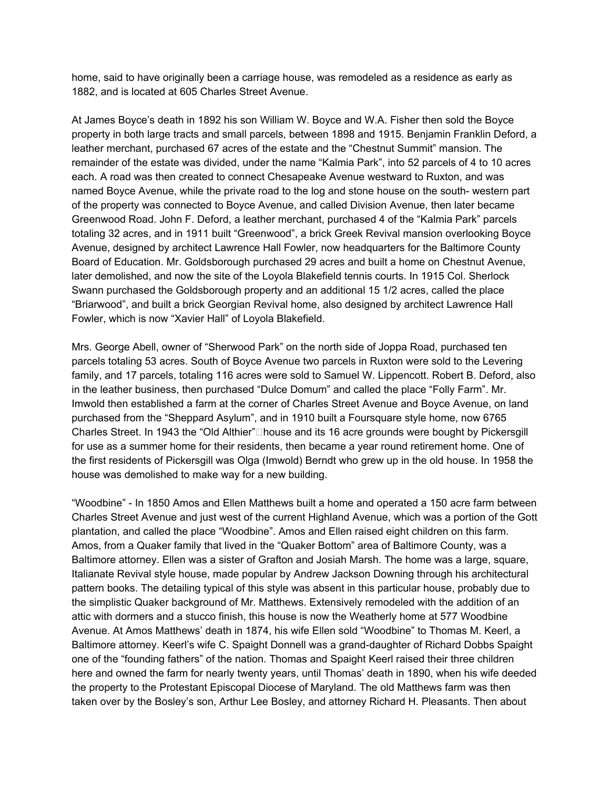home, said to have originally been a carriage house, was remodeled as a residence as early as 1882, and is located at 605 Charles Street Avenue.

At James Boyce's death in 1892 his son William W. Boyce and W.A. Fisher then sold the Boyce property in both large tracts and small parcels, between 1898 and 1915. Benjamin Franklin Deford, a leather merchant, purchased 67 acres of the estate and the "Chestnut Summit" mansion. The remainder of the estate was divided, under the name "Kalmia Park", into 52 parcels of 4 to 10 acres each. A road was then created to connect Chesapeake Avenue westward to Ruxton, and was named Boyce Avenue, while the private road to the log and stone house on the south- western part of the property was connected to Boyce Avenue, and called Division Avenue, then later became Greenwood Road. John F. Deford, a leather merchant, purchased 4 of the "Kalmia Park" parcels totaling 32 acres, and in 1911 built "Greenwood", a brick Greek Revival mansion overlooking Boyce Avenue, designed by architect Lawrence Hall Fowler, now headquarters for the Baltimore County Board of Education. Mr. Goldsborough purchased 29 acres and built a home on Chestnut Avenue, later demolished, and now the site of the Loyola Blakefield tennis courts. In 1915 Col. Sherlock Swann purchased the Goldsborough property and an additional 15 1/2 acres, called the place "Briarwood", and built a brick Georgian Revival home, also designed by architect Lawrence Hall Fowler, which is now "Xavier Hall" of Loyola Blakefield.

Mrs. George Abell, owner of "Sherwood Park" on the north side of Joppa Road, purchased ten parcels totaling 53 acres. South of Boyce Avenue two parcels in Ruxton were sold to the Levering family, and 17 parcels, totaling 116 acres were sold to Samuel W. Lippencott. Robert B. Deford, also in the leather business, then purchased "Dulce Domum" and called the place "Folly Farm". Mr. Imwold then established a farm at the corner of Charles Street Avenue and Boyce Avenue, on land purchased from the "Sheppard Asylum", and in 1910 built a Foursquare style home, now 6765 Charles Street. In 1943 the "Old Althier" $\square$  house and its 16 acre grounds were bought by Pickersgill for use as a summer home for their residents, then became a year round retirement home. One of the first residents of Pickersgill was Olga (Imwold) Berndt who grew up in the old house. In 1958 the house was demolished to make way for a new building.

"Woodbine" - In 1850 Amos and Ellen Matthews built a home and operated a 150 acre farm between Charles Street Avenue and just west of the current Highland Avenue, which was a portion of the Gott plantation, and called the place "Woodbine". Amos and Ellen raised eight children on this farm. Amos, from a Quaker family that lived in the "Quaker Bottom" area of Baltimore County, was a Baltimore attorney. Ellen was a sister of Grafton and Josiah Marsh. The home was a large, square, Italianate Revival style house, made popular by Andrew Jackson Downing through his architectural pattern books. The detailing typical of this style was absent in this particular house, probably due to the simplistic Quaker background of Mr. Matthews. Extensively remodeled with the addition of an attic with dormers and a stucco finish, this house is now the Weatherly home at 577 Woodbine Avenue. At Amos Matthews' death in 1874, his wife Ellen sold "Woodbine" to Thomas M. Keerl, a Baltimore attorney. Keerl's wife C. Spaight Donnell was a grand-daughter of Richard Dobbs Spaight one of the "founding fathers" of the nation. Thomas and Spaight Keerl raised their three children here and owned the farm for nearly twenty years, until Thomas' death in 1890, when his wife deeded the property to the Protestant Episcopal Diocese of Maryland. The old Matthews farm was then taken over by the Bosley's son, Arthur Lee Bosley, and attorney Richard H. Pleasants. Then about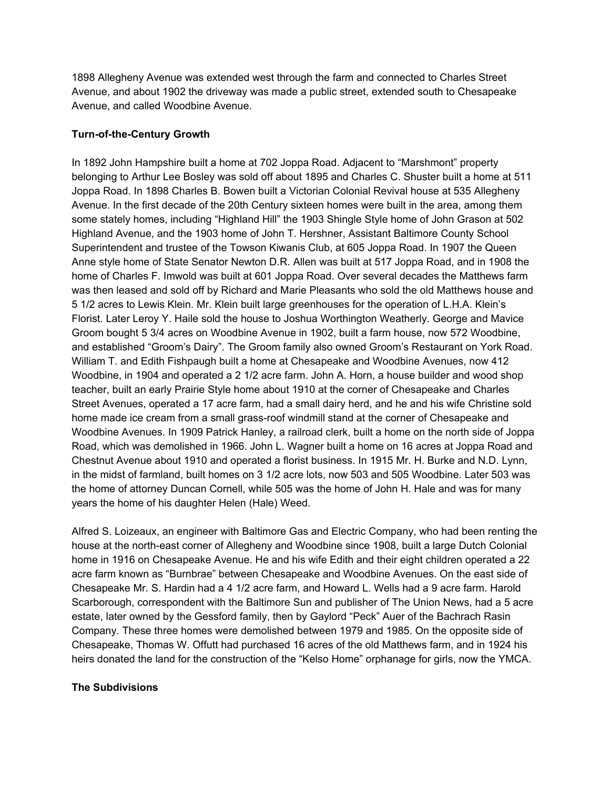1898 Allegheny Avenue was extended west through the farm and connected to Charles Street Avenue, and about 1902 the driveway was made a public street, extended south to Chesapeake Avenue, and called Woodbine Avenue.

# **Turn-of-the-Century Growth**

In 1892 John Hampshire built a home at 702 Joppa Road. Adjacent to "Marshmont" property belonging to Arthur Lee Bosley was sold off about 1895 and Charles C. Shuster built a home at 511 Joppa Road. In 1898 Charles B. Bowen built a Victorian Colonial Revival house at 535 Allegheny Avenue. In the first decade of the 20th Century sixteen homes were built in the area, among them some stately homes, including "Highland Hill" the 1903 Shingle Style home of John Grason at 502 Highland Avenue, and the 1903 home of John T. Hershner, Assistant Baltimore County School Superintendent and trustee of the Towson Kiwanis Club, at 605 Joppa Road. In 1907 the Queen Anne style home of State Senator Newton D.R. Allen was built at 517 Joppa Road, and in 1908 the home of Charles F. Imwold was built at 601 Joppa Road. Over several decades the Matthews farm was then leased and sold off by Richard and Marie Pleasants who sold the old Matthews house and 5 1/2 acres to Lewis Klein. Mr. Klein built large greenhouses for the operation of L.H.A. Klein's Florist. Later Leroy Y. Haile sold the house to Joshua Worthington Weatherly. George and Mavice Groom bought 5 3/4 acres on Woodbine Avenue in 1902, built a farm house, now 572 Woodbine, and established "Groom's Dairy". The Groom family also owned Groom's Restaurant on York Road. William T. and Edith Fishpaugh built a home at Chesapeake and Woodbine Avenues, now 412 Woodbine, in 1904 and operated a 2 1/2 acre farm. John A. Horn, a house builder and wood shop teacher, built an early Prairie Style home about 1910 at the corner of Chesapeake and Charles Street Avenues, operated a 17 acre farm, had a small dairy herd, and he and his wife Christine sold home made ice cream from a small grass-roof windmill stand at the corner of Chesapeake and Woodbine Avenues. In 1909 Patrick Hanley, a railroad clerk, built a home on the north side of Joppa Road, which was demolished in 1966. John L. Wagner built a home on 16 acres at Joppa Road and Chestnut Avenue about 1910 and operated a florist business. In 1915 Mr. H. Burke and N.D. Lynn, in the midst of farmland, built homes on 3 1/2 acre lots, now 503 and 505 Woodbine. Later 503 was the home of attorney Duncan Cornell, while 505 was the home of John H. Hale and was for many years the home of his daughter Helen (Hale) Weed.

Alfred S. Loizeaux, an engineer with Baltimore Gas and Electric Company, who had been renting the house at the north-east corner of Allegheny and Woodbine since 1908, built a large Dutch Colonial home in 1916 on Chesapeake Avenue. He and his wife Edith and their eight children operated a 22 acre farm known as "Burnbrae" between Chesapeake and Woodbine Avenues. On the east side of Chesapeake Mr. S. Hardin had a 4 1/2 acre farm, and Howard L. Wells had a 9 acre farm. Harold Scarborough, correspondent with the Baltimore Sun and publisher of The Union News, had a 5 acre estate, later owned by the Gessford family, then by Gaylord "Peck" Auer of the Bachrach Rasin Company. These three homes were demolished between 1979 and 1985. On the opposite side of Chesapeake, Thomas W. Offutt had purchased 16 acres of the old Matthews farm, and in 1924 his heirs donated the land for the construction of the "Kelso Home" orphanage for girls, now the YMCA.

## **The Subdivisions**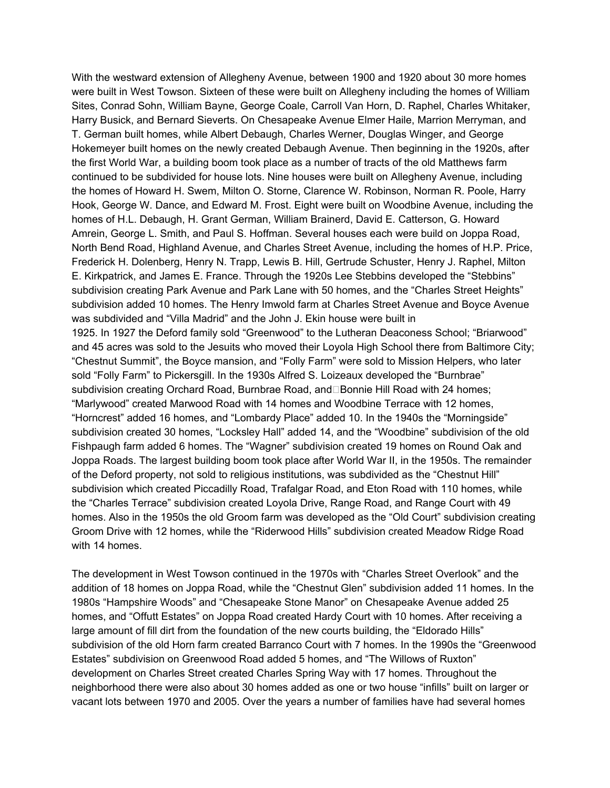With the westward extension of Allegheny Avenue, between 1900 and 1920 about 30 more homes were built in West Towson. Sixteen of these were built on Allegheny including the homes of William Sites, Conrad Sohn, William Bayne, George Coale, Carroll Van Horn, D. Raphel, Charles Whitaker, Harry Busick, and Bernard Sieverts. On Chesapeake Avenue Elmer Haile, Marrion Merryman, and T. German built homes, while Albert Debaugh, Charles Werner, Douglas Winger, and George Hokemeyer built homes on the newly created Debaugh Avenue. Then beginning in the 1920s, after the first World War, a building boom took place as a number of tracts of the old Matthews farm continued to be subdivided for house lots. Nine houses were built on Allegheny Avenue, including the homes of Howard H. Swem, Milton O. Storne, Clarence W. Robinson, Norman R. Poole, Harry Hook, George W. Dance, and Edward M. Frost. Eight were built on Woodbine Avenue, including the homes of H.L. Debaugh, H. Grant German, William Brainerd, David E. Catterson, G. Howard Amrein, George L. Smith, and Paul S. Hoffman. Several houses each were build on Joppa Road, North Bend Road, Highland Avenue, and Charles Street Avenue, including the homes of H.P. Price, Frederick H. Dolenberg, Henry N. Trapp, Lewis B. Hill, Gertrude Schuster, Henry J. Raphel, Milton E. Kirkpatrick, and James E. France. Through the 1920s Lee Stebbins developed the "Stebbins" subdivision creating Park Avenue and Park Lane with 50 homes, and the "Charles Street Heights" subdivision added 10 homes. The Henry Imwold farm at Charles Street Avenue and Boyce Avenue was subdivided and "Villa Madrid" and the John J. Ekin house were built in 1925. In 1927 the Deford family sold "Greenwood" to the Lutheran Deaconess School; "Briarwood" and 45 acres was sold to the Jesuits who moved their Loyola High School there from Baltimore City; "Chestnut Summit", the Boyce mansion, and "Folly Farm" were sold to Mission Helpers, who later sold "Folly Farm" to Pickersgill. In the 1930s Alfred S. Loizeaux developed the "Burnbrae" subdivision creating Orchard Road, Burnbrae Road, and $\Box$ Bonnie Hill Road with 24 homes; "Marlywood" created Marwood Road with 14 homes and Woodbine Terrace with 12 homes, "Horncrest" added 16 homes, and "Lombardy Place" added 10. In the 1940s the "Morningside" subdivision created 30 homes, "Locksley Hall" added 14, and the "Woodbine" subdivision of the old Fishpaugh farm added 6 homes. The "Wagner" subdivision created 19 homes on Round Oak and Joppa Roads. The largest building boom took place after World War II, in the 1950s. The remainder of the Deford property, not sold to religious institutions, was subdivided as the "Chestnut Hill" subdivision which created Piccadilly Road, Trafalgar Road, and Eton Road with 110 homes, while the "Charles Terrace" subdivision created Loyola Drive, Range Road, and Range Court with 49 homes. Also in the 1950s the old Groom farm was developed as the "Old Court" subdivision creating Groom Drive with 12 homes, while the "Riderwood Hills" subdivision created Meadow Ridge Road with 14 homes.

The development in West Towson continued in the 1970s with "Charles Street Overlook" and the addition of 18 homes on Joppa Road, while the "Chestnut Glen" subdivision added 11 homes. In the 1980s "Hampshire Woods" and "Chesapeake Stone Manor" on Chesapeake Avenue added 25 homes, and "Offutt Estates" on Joppa Road created Hardy Court with 10 homes. After receiving a large amount of fill dirt from the foundation of the new courts building, the "Eldorado Hills" subdivision of the old Horn farm created Barranco Court with 7 homes. In the 1990s the "Greenwood Estates" subdivision on Greenwood Road added 5 homes, and "The Willows of Ruxton" development on Charles Street created Charles Spring Way with 17 homes. Throughout the neighborhood there were also about 30 homes added as one or two house "infills" built on larger or vacant lots between 1970 and 2005. Over the years a number of families have had several homes